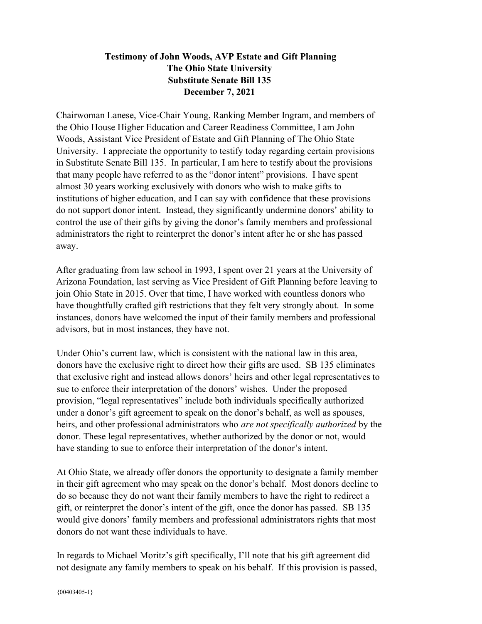## Testimony of John Woods, AVP Estate and Gift Planning The Ohio State University Substitute Senate Bill 135 December 7, 2021

Chairwoman Lanese, Vice-Chair Young, Ranking Member Ingram, and members of the Ohio House Higher Education and Career Readiness Committee, I am John Woods, Assistant Vice President of Estate and Gift Planning of The Ohio State University. I appreciate the opportunity to testify today regarding certain provisions in Substitute Senate Bill 135. In particular, I am here to testify about the provisions that many people have referred to as the "donor intent" provisions. I have spent almost 30 years working exclusively with donors who wish to make gifts to institutions of higher education, and I can say with confidence that these provisions do not support donor intent. Instead, they significantly undermine donors' ability to control the use of their gifts by giving the donor's family members and professional administrators the right to reinterpret the donor's intent after he or she has passed away.

After graduating from law school in 1993, I spent over 21 years at the University of Arizona Foundation, last serving as Vice President of Gift Planning before leaving to join Ohio State in 2015. Over that time, I have worked with countless donors who have thoughtfully crafted gift restrictions that they felt very strongly about. In some instances, donors have welcomed the input of their family members and professional advisors, but in most instances, they have not.

Under Ohio's current law, which is consistent with the national law in this area, donors have the exclusive right to direct how their gifts are used. SB 135 eliminates that exclusive right and instead allows donors' heirs and other legal representatives to sue to enforce their interpretation of the donors' wishes. Under the proposed provision, "legal representatives" include both individuals specifically authorized under a donor's gift agreement to speak on the donor's behalf, as well as spouses, heirs, and other professional administrators who *are not specifically authorized* by the donor. These legal representatives, whether authorized by the donor or not, would have standing to sue to enforce their interpretation of the donor's intent.

At Ohio State, we already offer donors the opportunity to designate a family member in their gift agreement who may speak on the donor's behalf. Most donors decline to do so because they do not want their family members to have the right to redirect a gift, or reinterpret the donor's intent of the gift, once the donor has passed. SB 135 would give donors' family members and professional administrators rights that most donors do not want these individuals to have.

In regards to Michael Moritz's gift specifically, I'll note that his gift agreement did not designate any family members to speak on his behalf. If this provision is passed,